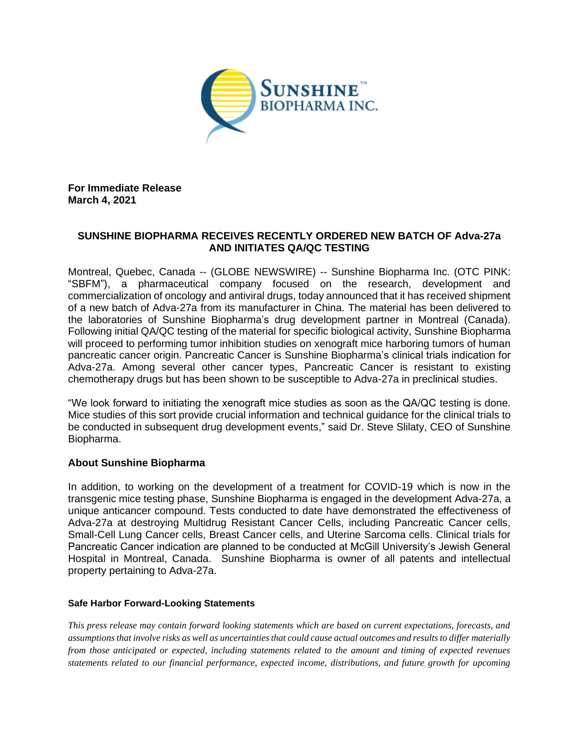

**For Immediate Release March 4, 2021**

## **SUNSHINE BIOPHARMA RECEIVES RECENTLY ORDERED NEW BATCH OF Adva-27a AND INITIATES QA/QC TESTING**

Montreal, Quebec, Canada -- (GLOBE NEWSWIRE) -- Sunshine Biopharma Inc. (OTC PINK: "SBFM"), a pharmaceutical company focused on the research, development and commercialization of oncology and antiviral drugs, today announced that it has received shipment of a new batch of Adva-27a from its manufacturer in China. The material has been delivered to the laboratories of Sunshine Biopharma's drug development partner in Montreal (Canada). Following initial QA/QC testing of the material for specific biological activity, Sunshine Biopharma will proceed to performing tumor inhibition studies on xenograft mice harboring tumors of human pancreatic cancer origin. Pancreatic Cancer is Sunshine Biopharma's clinical trials indication for Adva-27a. Among several other cancer types, Pancreatic Cancer is resistant to existing chemotherapy drugs but has been shown to be susceptible to Adva-27a in preclinical studies.

"We look forward to initiating the xenograft mice studies as soon as the QA/QC testing is done. Mice studies of this sort provide crucial information and technical guidance for the clinical trials to be conducted in subsequent drug development events," said Dr. Steve Slilaty, CEO of Sunshine Biopharma.

## **About Sunshine Biopharma**

In addition, to working on the development of a treatment for COVID-19 which is now in the transgenic mice testing phase, Sunshine Biopharma is engaged in the development Adva-27a, a unique anticancer compound. Tests conducted to date have demonstrated the effectiveness of Adva-27a at destroying Multidrug Resistant Cancer Cells, including Pancreatic Cancer cells, Small-Cell Lung Cancer cells, Breast Cancer cells, and Uterine Sarcoma cells. Clinical trials for Pancreatic Cancer indication are planned to be conducted at McGill University's Jewish General Hospital in Montreal, Canada. Sunshine Biopharma is owner of all patents and intellectual property pertaining to Adva-27a.

## **Safe Harbor Forward-Looking Statements**

*This press release may contain forward looking statements which are based on current expectations, forecasts, and assumptions that involve risks as well as uncertainties that could cause actual outcomes and results to differ materially from those anticipated or expected, including statements related to the amount and timing of expected revenues statements related to our financial performance, expected income, distributions, and future growth for upcoming*